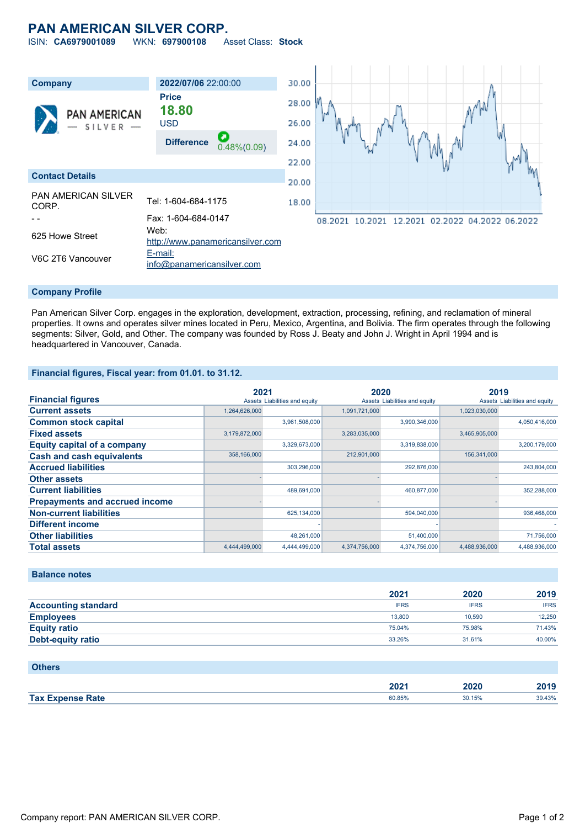# **PAN AMERICAN SILVER CORP.**

ISIN: **CA6979001089** WKN: **697900108** Asset Class: **Stock**



#### **Company Profile**

Pan American Silver Corp. engages in the exploration, development, extraction, processing, refining, and reclamation of mineral properties. It owns and operates silver mines located in Peru, Mexico, Argentina, and Bolivia. The firm operates through the following segments: Silver, Gold, and Other. The company was founded by Ross J. Beaty and John J. Wright in April 1994 and is headquartered in Vancouver, Canada.

### **Financial figures, Fiscal year: from 01.01. to 31.12.**

|                                       | 2021          |                               | 2020          |                               | 2019          |                               |
|---------------------------------------|---------------|-------------------------------|---------------|-------------------------------|---------------|-------------------------------|
| <b>Financial figures</b>              |               | Assets Liabilities and equity |               | Assets Liabilities and equity |               | Assets Liabilities and equity |
| <b>Current assets</b>                 | 1,264,626,000 |                               | 1,091,721,000 |                               | 1,023,030,000 |                               |
| <b>Common stock capital</b>           |               | 3,961,508,000                 |               | 3,990,346,000                 |               | 4,050,416,000                 |
| <b>Fixed assets</b>                   | 3,179,872,000 |                               | 3,283,035,000 |                               | 3,465,905,000 |                               |
| <b>Equity capital of a company</b>    |               | 3,329,673,000                 |               | 3,319,838,000                 |               | 3,200,179,000                 |
| <b>Cash and cash equivalents</b>      | 358,166,000   |                               | 212,901,000   |                               | 156,341,000   |                               |
| <b>Accrued liabilities</b>            |               | 303,296,000                   |               | 292,876,000                   |               | 243,804,000                   |
| <b>Other assets</b>                   |               |                               |               |                               |               |                               |
| <b>Current liabilities</b>            |               | 489,691,000                   |               | 460,877,000                   |               | 352,288,000                   |
| <b>Prepayments and accrued income</b> |               |                               |               |                               |               |                               |
| <b>Non-current liabilities</b>        |               | 625,134,000                   |               | 594,040,000                   |               | 936,468,000                   |
| <b>Different income</b>               |               |                               |               |                               |               |                               |
| <b>Other liabilities</b>              |               | 48,261,000                    |               | 51,400,000                    |               | 71,756,000                    |
| <b>Total assets</b>                   | 4.444.499.000 | 4.444.499.000                 | 4.374.756.000 | 4.374.756.000                 | 4.488.936.000 | 4.488.936.000                 |

## **Balance notes**

|                            | 2021        | 2020        | 2019        |
|----------------------------|-------------|-------------|-------------|
| <b>Accounting standard</b> | <b>IFRS</b> | <b>IFRS</b> | <b>IFRS</b> |
| <b>Employees</b>           | 13,800      | 10.590      | 12.250      |
| <b>Equity ratio</b>        | 75.04%      | 75.98%      | 71.43%      |
| <b>Debt-equity ratio</b>   | 33.26%      | 31.61%      | 40.00%      |

| <b>Others</b>           |        |        |        |
|-------------------------|--------|--------|--------|
|                         | 2021   | 2020   | 2019   |
| <b>Tax Expense Rate</b> | 60.85% | 30.15% | 39.43% |